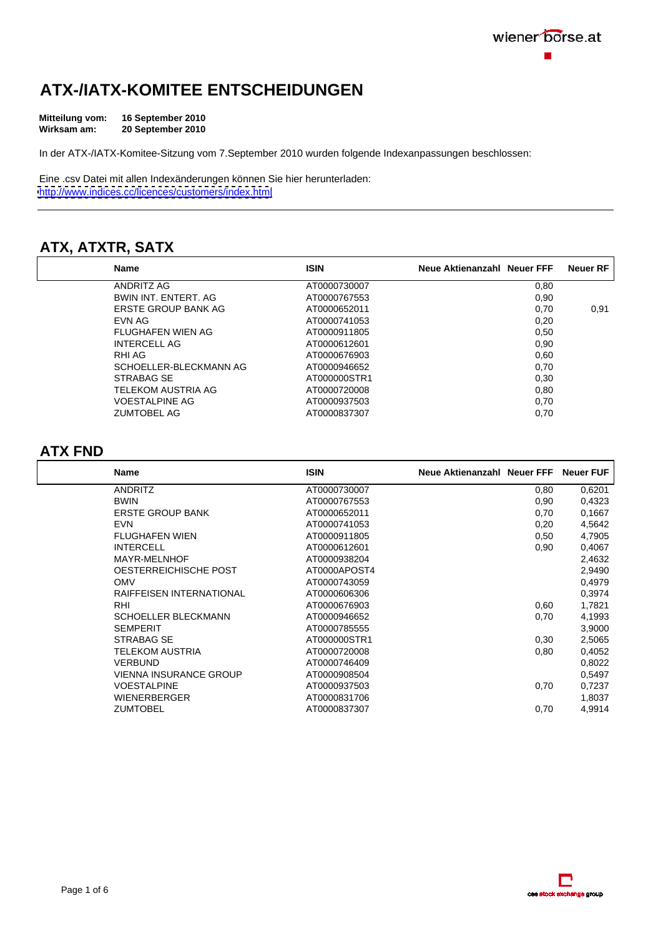# **ATX-/IATX-KOMITEE ENTSCHEIDUNGEN**

| Mitteilung vom: | 16 September 2010 |  |
|-----------------|-------------------|--|
| Wirksam am:     | 20 September 2010 |  |

In der ATX-/IATX-Komitee-Sitzung vom 7.September 2010 wurden folgende Indexanpassungen beschlossen:

Eine .csv Datei mit allen Indexänderungen können Sie hier herunterladen: <http://www.indices.cc/licences/customers/index.html>

## **ATX, ATXTR, SATX**

| Name                   | <b>ISIN</b>  | Neue Aktienanzahl Neuer FFF Neuer RF |      |
|------------------------|--------------|--------------------------------------|------|
| <b>ANDRITZ AG</b>      | AT0000730007 | 0,00                                 |      |
| BWIN INT. ENTERT. AG   | AT0000767553 |                                      |      |
| ERSTE GROUP BANK AG    | AT0000652011 | 0,70                                 | 0,91 |
| EVN AG                 | AT0000741053 | 0,20                                 |      |
| FLUGHAFEN WIEN AG      | AT0000911805 | 0,50                                 |      |
| <b>INTERCELL AG</b>    | AT0000612601 | บ,ษเ                                 |      |
| RHI AG                 | AT0000676903 | 0,60                                 |      |
| SCHOELLER-BLECKMANN AG | AT0000946652 |                                      |      |
| STRABAG SE             | AT000000STR1 | U,3C                                 |      |
| TELEKOM AUSTRIA AG     | AT0000720008 | บ.ชด                                 |      |
| <b>VOESTALPINE AG</b>  | AT0000937503 |                                      |      |
| <b>ZUMTOBEL AG</b>     | AT0000837307 | v, r                                 |      |

### **ATX FND**

| Name                     | <b>ISIN</b>  | Neue Aktienanzahl Neuer FFF Neuer FUF |        |
|--------------------------|--------------|---------------------------------------|--------|
| ANDRITZ                  | AT0000730007 | 0.80                                  | 0,6201 |
| <b>BWIN</b>              | AT0000767553 | 0,90                                  | 0,4323 |
| <b>ERSTE GROUP BANK</b>  | AT0000652011 | 0,70                                  | 0,1667 |
| <b>EVN</b>               | AT0000741053 | 0,20                                  | 4,5642 |
| FLUGHAFEN WIEN           | AT0000911805 | 0,50                                  | 4,7905 |
| <b>INTERCELL</b>         | AT0000612601 | 0,90                                  | 0,4067 |
| MAYR-MELNHOF             | AT0000938204 |                                       | 2,4632 |
| OESTERREICHISCHE POST    | AT0000APOST4 |                                       | 2,9490 |
| OMV                      | AT0000743059 |                                       | 0,4979 |
| RAIFFEISEN INTERNATIONAL | AT0000606306 |                                       | 0,3974 |
| <b>RHI</b>               | AT0000676903 | 0,60                                  | 1,7821 |
| SCHOELLER BLECKMANN      | AT0000946652 | 0,70                                  | 4,1993 |
| SEMPERIT                 | AT0000785555 |                                       | 3,9000 |
| STRABAG SE               | AT000000STR1 | 0,30                                  | 2,5065 |
| TELEKOM AUSTRIA          | AT0000720008 | 0,80                                  | 0,4052 |
| VERBUND                  | AT0000746409 |                                       | 0,8022 |
| VIENNA INSURANCE GROUP   | AT0000908504 |                                       | 0,5497 |
| VOESTALPINE              | AT0000937503 | 0,70                                  | 0,7237 |
| WIENERBERGER             | AT0000831706 |                                       | 1,8037 |
| ZUMTOBEL                 | AT0000837307 | 0,70                                  | 4,9914 |

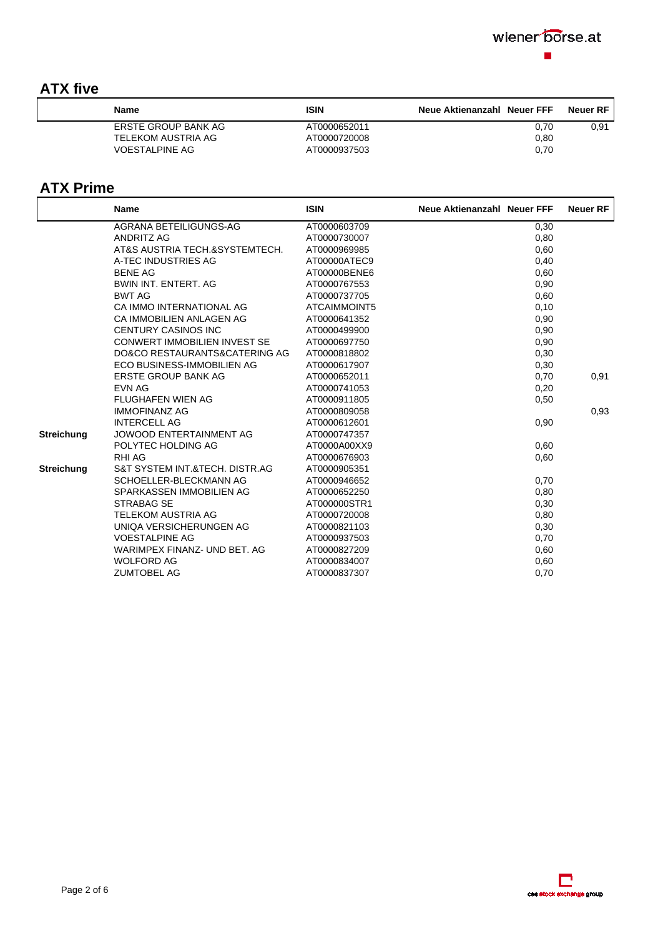## **ATX five**

| <b>Nam</b>                 |                     | Neue Aktienanzahl Neuer FFF Neuer RF |     |
|----------------------------|---------------------|--------------------------------------|-----|
| <b>ERSTE GROUP BANK AG</b> | <b>\T0000652011</b> |                                      | ∪.⊍ |
| TELEKOM AUSTRIA AG         | AT0000720008        |                                      |     |
| <b>VOESTALPINE AG</b>      | T0000937503         |                                      |     |

## **ATX Prime**

|            | <b>Name</b>                    | <b>ISIN</b>  | Neue Aktienanzahl Neuer FFF Neuer RF |      |
|------------|--------------------------------|--------------|--------------------------------------|------|
|            | AGRANA BETEILIGUNGS-AG         | AT0000603709 | 0,30                                 |      |
|            | ANDRITZ AG                     | AT0000730007 | 0,80                                 |      |
|            | AT&S AUSTRIA TECH.&SYSTEMTECH  | AT0000969985 | 0,60                                 |      |
|            | A-TEC INDUSTRIES AG            | AT00000ATEC9 | 0,40                                 |      |
|            | <b>BENE AG</b>                 | AT00000BENE6 | 0,60                                 |      |
|            | BWIN INT. ENTERT. AG           | AT0000767553 | 0,90                                 |      |
|            | BWT AG                         | AT0000737705 | 0,60                                 |      |
|            | CA IMMO INTERNATIONAL AG       | ATCAIMMOINT5 | 0,10                                 |      |
|            | CA IMMOBILIEN ANLAGEN AG       | AT0000641352 | 0,90                                 |      |
|            | CENTURY CASINOS INC            | AT0000499900 | 0,90                                 |      |
|            | CONWERT IMMOBILIEN INVEST SE   | AT0000697750 | 0,90                                 |      |
|            | DO&CO RESTAURANTS&CATERING AG  | AT0000818802 | 0,30                                 |      |
|            | ECO BUSINESS-IMMOBILIEN AG     | AT0000617907 | 0,30                                 |      |
|            | ERSTE GROUP BANK AG            | AT0000652011 | 0,70                                 | 0,91 |
|            | EVN AG                         | AT0000741053 | 0,20                                 |      |
|            | FLUGHAFEN WIEN AG              | AT0000911805 | 0,50                                 |      |
|            | <b>IMMOFINANZ AG</b>           | AT0000809058 |                                      | 0,93 |
|            | INTERCELL AG                   | AT0000612601 | 0,90                                 |      |
| Streichung | JOWOOD ENTERTAINMENT AG        | AT0000747357 |                                      |      |
|            | POLYTEC HOLDING AG             | AT0000A00XX9 | 0,60                                 |      |
|            | RHI AG                         | AT0000676903 | 0,60                                 |      |
| Streichung | S&T SYSTEM INT.&TECH. DISTR.AG | AT0000905351 |                                      |      |
|            | SCHOELLER-BLECKMANN AG         | AT0000946652 | 0,70                                 |      |
|            | SPARKASSEN IMMOBILIEN AG       | AT0000652250 | 0,80                                 |      |
|            | STRABAG SE                     | AT000000STR1 | 0,30                                 |      |
|            | TELEKOM AUSTRIA AG             | AT0000720008 | 0,80                                 |      |
|            | UNIQA VERSICHERUNGEN AG        | AT0000821103 | 0,30                                 |      |
|            | <b>VOESTALPINE AG</b>          | AT0000937503 | 0,70                                 |      |
|            | WARIMPEX FINANZ- UND BET. AG   | AT0000827209 | 0,60                                 |      |
|            | WOLFORD AG                     | AT0000834007 | 0,60                                 |      |
|            | <b>ZUMTOBEL AG</b>             | AT0000837307 | 0,70                                 |      |

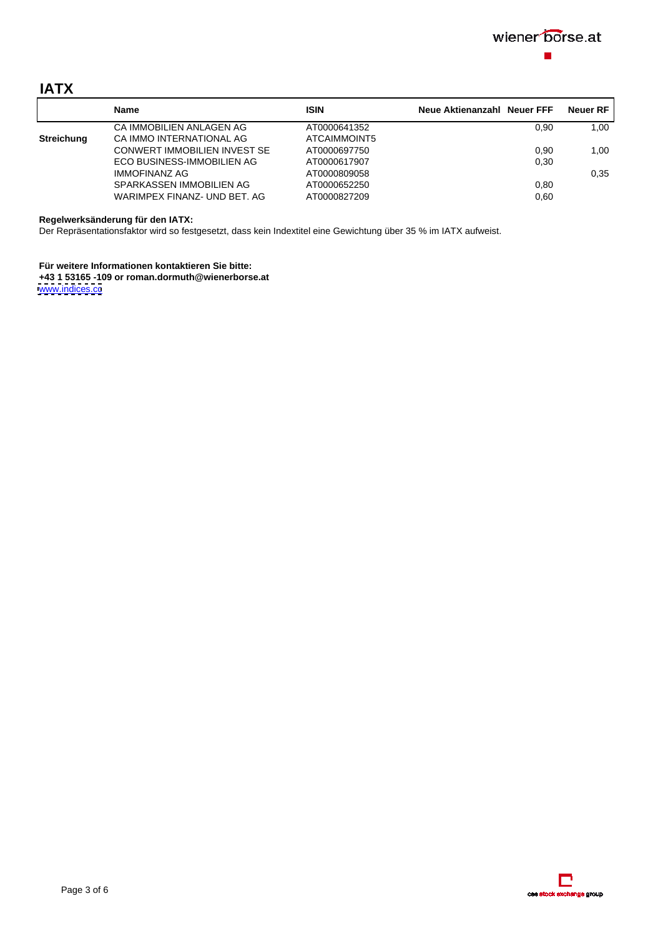

# **IATX**

|                   |                              | <b>ISIN</b>  | Neue Aktienanzahl Neuer FFF Neuer RF |      |
|-------------------|------------------------------|--------------|--------------------------------------|------|
|                   | CA IMMOBILIEN ANLAGEN AG     | AT0000641352 | 0,90                                 | 1,00 |
| <b>Streichung</b> | CA IMMO INTERNATIONAL AG     | ATCAIMMOINT5 |                                      |      |
|                   | CONWERT IMMOBILIEN INVEST SE | AT0000697750 | ა,90                                 | 1.00 |
|                   | ECO BUSINESS-IMMOBILIEN AG   | AT0000617907 | ს,30                                 |      |
|                   | <b>IMMOFINANZ AG</b>         | AT0000809058 |                                      | J.J. |
|                   | SPARKASSEN IMMOBILIEN AG     | AT0000652250 | J,80                                 |      |
|                   | WARIMPEX FINANZ- UND BET. AG | AT0000827209 |                                      |      |

**Regelwerksänderung für den IATX:**

Der Repräsentationsfaktor wird so festgesetzt, dass kein Indextitel eine Gewichtung über 35 % im IATX aufweist.

**Für weitere Informationen kontaktieren Sie bitte: +43 1 53165 -109 or roman.dormuth@wienerborse.at** [www.indices.cc](http://www.indices.cc) contract the contract of the contract of the contract of the contract of the contract of the contract of the contract of the contract of the contract of the contract of the contract of the contract of the co

> **E**<br>bok exhange group  $0000$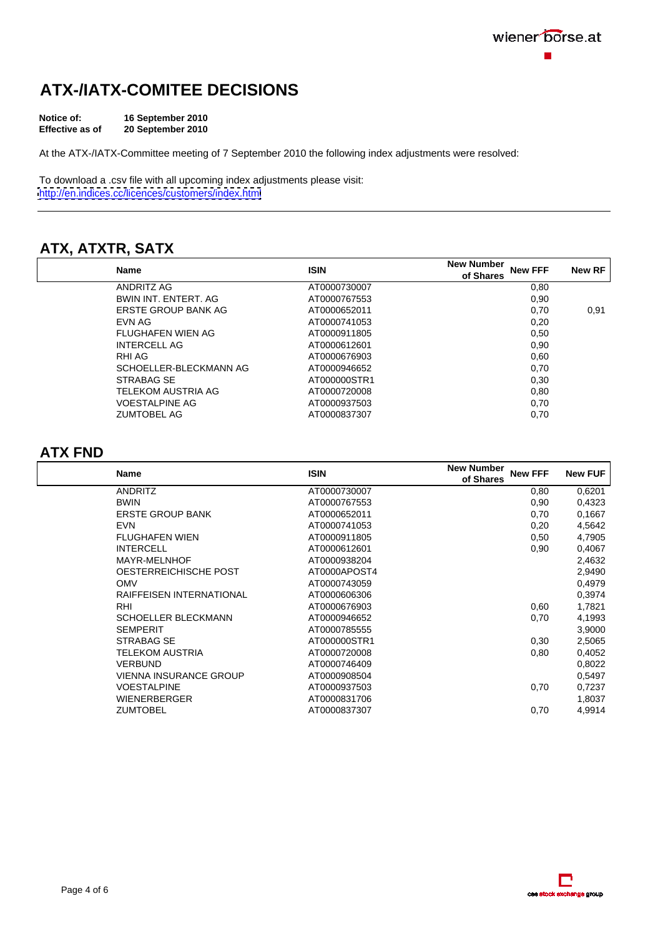# **ATX-/IATX-COMITEE DECISIONS**

At the ATX-/IATX-Committee meeting of 7 September 2010 the following index adjustments were resolved:

To download a .csv file with all upcoming index adjustments please visit: <http://en.indices.cc/licences/customers/index.html>

# **ATX, ATXTR, SATX**

| Name                   | <b>ISIN</b>  | New Number<br>New FFF New RE<br>of Shares |      |
|------------------------|--------------|-------------------------------------------|------|
| ANDRITZ AG             | AT0000730007 |                                           |      |
| BWIN INT. ENTERT. AG   | AT0000767553 |                                           |      |
| ERSTE GROUP BANK AG    | AT0000652011 | 0, 70                                     | 0,91 |
| <b>EVN AG</b>          | AT0000741053 | 0,20                                      |      |
| FLUGHAFEN WIEN AG      | AT0000911805 | 0,50                                      |      |
| INTERCELL AG           | AT0000612601 | บ.ษเ                                      |      |
| <b>RHI AG</b>          | AT0000676903 |                                           |      |
| SCHOELLER-BLECKMANN AG | AT0000946652 | <u>v.ru</u>                               |      |
| STRABAG SE             | AT000000STR1 | 0.30 <sub>1</sub>                         |      |
| TELEKOM AUSTRIA AG     | AT0000720008 |                                           |      |
| <b>VOESTALPINE AG</b>  | AT0000937503 | ∪.≀                                       |      |
| <b>ZUMTOBEL AG</b>     | AT0000837307 | 0,70                                      |      |

### **ATX FND**

| Name                     | <b>ISIN</b>  | <b>New Number</b><br>New FFF New FUF<br>of Shares |        |
|--------------------------|--------------|---------------------------------------------------|--------|
| ANDRITZ                  | AT0000730007 | 0,80                                              | 0,6201 |
| BWIN                     | AT0000767553 | 0,90                                              | 0,4323 |
| ERSTE GROUP BANK         | AT0000652011 | 0,70                                              | 0,1667 |
| EVN                      | AT0000741053 | 0,20                                              | 4,5642 |
| <b>FLUGHAFEN WIEN</b>    | AT0000911805 | 0,50                                              | 4,7905 |
| <b>INTERCELL</b>         | AT0000612601 | 0,90                                              | 0,4067 |
| MAYR-MELNHOF             | AT0000938204 |                                                   | 2,4632 |
| OESTERREICHISCHE POST    | AT0000APOST4 |                                                   | 2,9490 |
| OMV                      | AT0000743059 |                                                   | 0,4979 |
| RAIFFEISEN INTERNATIONAL | AT0000606306 |                                                   | 0,3974 |
| RH                       | AT0000676903 | 0,60                                              | 1,7821 |
| SCHOELLER BLECKMANN      | AT0000946652 | 0,70                                              | 4,1993 |
| SEMPERIT                 | AT0000785555 |                                                   | 3,9000 |
| STRABAG SE               | AT000000STR1 | 0,30                                              | 2,5065 |
| <b>TELEKOM AUSTRIA</b>   | AT0000720008 | 0,80                                              | 0,4052 |
| VERBUND                  | AT0000746409 |                                                   | 0,8022 |
| VIENNA INSURANCE GROUP   | AT0000908504 |                                                   | 0,5497 |
| VOESTALPINE              | AT0000937503 | 0,70                                              | 0,7237 |
| WIENERBERGER             | AT0000831706 |                                                   | 1,8037 |
| ZUMTOBEL                 | AT0000837307 | 0,70                                              | 4,9914 |
|                          |              |                                                   |        |

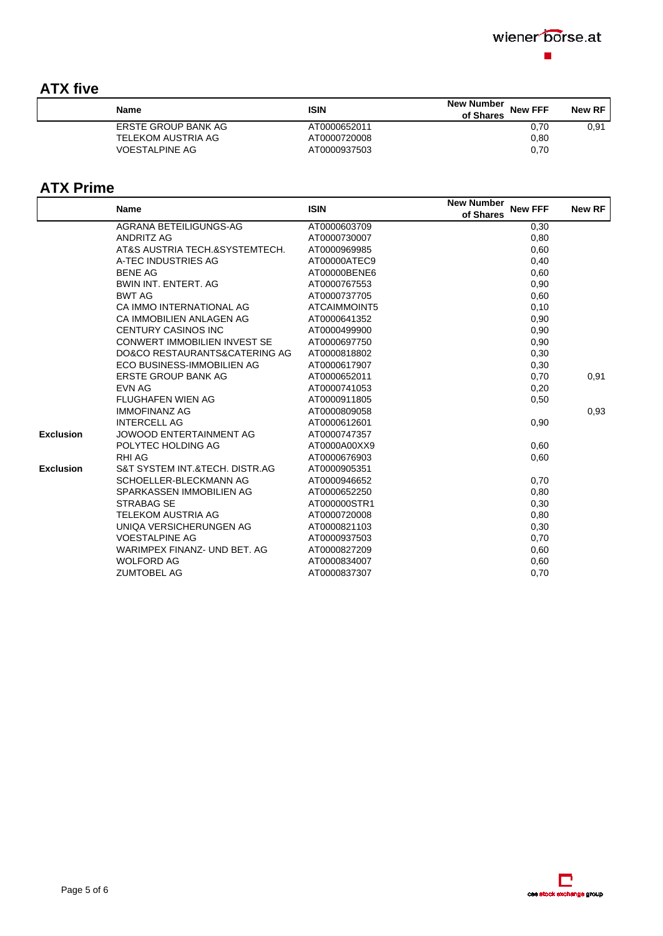| <b>ATX five</b>                                                                                                                                       |              |                                    |        |
|-------------------------------------------------------------------------------------------------------------------------------------------------------|--------------|------------------------------------|--------|
| <b>Mappa</b>                                                                                                                                          |              | New Number<br>New FFF<br>of Shares | New RF |
| <u> Andreas Andreas Andreas Andreas Andreas Andreas Andreas Andreas Andreas Andreas Andreas Andreas Andreas Andreas</u><br><b>ERSTE GROUP BANK AG</b> | AT0000652011 |                                    | ו שו   |
| TELEKOM AUSTRIA AG                                                                                                                                    | AT0000720008 |                                    |        |
| VOESTALPINE AG                                                                                                                                        | AT0000937503 |                                    |        |

## **ATX Prime**

|                  | Name                           | <b>ISIN</b>  | <b>New Number</b><br><b>New FFF</b><br>of Shares | <b>New RF</b> |
|------------------|--------------------------------|--------------|--------------------------------------------------|---------------|
|                  | AGRANA BETEILIGUNGS-AG         | AT0000603709 | 0,30                                             |               |
|                  | ANDRITZ AG                     | AT0000730007 | 0,80                                             |               |
|                  | AT&S AUSTRIA TECH.&SYSTEMTECH. | AT0000969985 | 0,60                                             |               |
|                  | A-TEC INDUSTRIES AG            | AT00000ATEC9 | 0,40                                             |               |
|                  | <b>BENE AG</b>                 | AT00000BENE6 | 0,60                                             |               |
|                  | BWIN INT. ENTERT. AG           | AT0000767553 | 0,90                                             |               |
|                  | BWT AG                         | AT0000737705 | 0,60                                             |               |
|                  | CA IMMO INTERNATIONAL AG       | ATCAIMMOINT5 | 0,10                                             |               |
|                  | CA IMMOBILIEN ANLAGEN AG       | AT0000641352 | 0,90                                             |               |
|                  | CENTURY CASINOS INC            | AT0000499900 | 0,90                                             |               |
|                  | CONWERT IMMOBILIEN INVEST SE   | AT0000697750 | 0,90                                             |               |
|                  | DO&CO RESTAURANTS&CATERING A   | AT0000818802 | 0,30                                             |               |
|                  | ECO BUSINESS-IMMOBILIEN AG     | AT0000617907 | 0,30                                             |               |
|                  | ERSTE GROUP BANK AG            | AT0000652011 | 0,70                                             | 0,91          |
|                  | EVN AG                         | AT0000741053 | $0,20$<br>$0,50$                                 |               |
|                  | FLUGHAFEN WIEN AG              | AT0000911805 |                                                  |               |
|                  | <b>IMMOFINANZ AG</b>           | AT0000809058 |                                                  | 0,93          |
|                  | <b>INTERCELL AG</b>            | AT0000612601 | 0,90                                             |               |
| <b>Exclusion</b> | JOWOOD ENTERTAINMENT AG        | AT0000747357 |                                                  |               |
|                  | POLYTEC HOLDING AG             | AT0000A00XX9 | 0,60                                             |               |
|                  | RHI AG                         | AT0000676903 | 0,60                                             |               |
| <b>Exclusion</b> | S&T SYSTEM INT.&TECH. DISTR.AG | AT0000905351 |                                                  |               |
|                  | SCHOELLER-BLECKMANN AG         | AT0000946652 | 0,70                                             |               |
|                  | SPARKASSEN IMMOBILIEN AG       | AT0000652250 | 0,80                                             |               |
|                  | <b>STRABAG SE</b>              | AT000000STR1 | 0,30                                             |               |
|                  | TELEKOM AUSTRIA AG             | AT0000720008 | 0,80                                             |               |
|                  | UNIQA VERSICHERUNGEN AG        | AT0000821103 | 0,30                                             |               |
|                  | <b>VOESTALPINE AG</b>          | AT0000937503 | 0,70                                             |               |
|                  | WARIMPEX FINANZ- UND BET. AG   | AT0000827209 | 0,60                                             |               |
|                  | <b>WOLFORD AG</b>              | AT0000834007 | 0,60                                             |               |
|                  | <b>ZUMTOBEL AG</b>             | AT0000837307 | 0,70                                             |               |